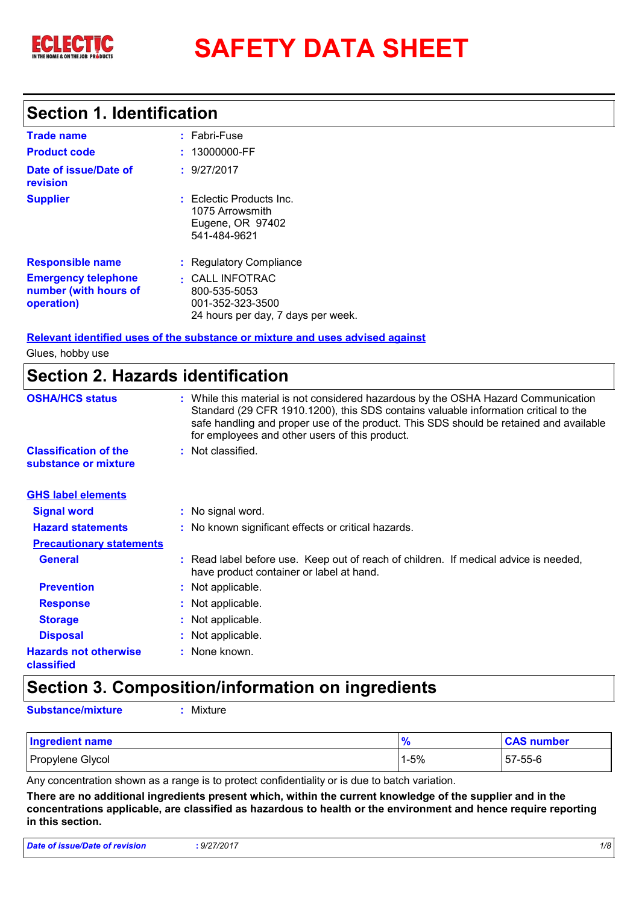

# **SAFETY DATA SHEET**

### **Section 1. Identification**

| <b>Trade name</b>                                                 | $:$ Fabri-Fuse                                                                                |
|-------------------------------------------------------------------|-----------------------------------------------------------------------------------------------|
| <b>Product code</b>                                               | : 13000000-FF                                                                                 |
| Date of issue/Date of<br>revision                                 | : 9/27/2017                                                                                   |
| <b>Supplier</b>                                                   | : Eclectic Products Inc.<br>1075 Arrowsmith<br>Eugene, OR 97402<br>541-484-9621               |
| <b>Responsible name</b>                                           | : Regulatory Compliance                                                                       |
| <b>Emergency telephone</b><br>number (with hours of<br>operation) | $\pm$ CALL INFOTRAC<br>800-535-5053<br>001-352-323-3500<br>24 hours per day, 7 days per week. |

#### **Relevant identified uses of the substance or mixture and uses advised against**

Glues, hobby use

### **Section 2. Hazards identification**

| <b>OSHA/HCS status</b>                               | : While this material is not considered hazardous by the OSHA Hazard Communication<br>Standard (29 CFR 1910.1200), this SDS contains valuable information critical to the<br>safe handling and proper use of the product. This SDS should be retained and available<br>for employees and other users of this product. |
|------------------------------------------------------|-----------------------------------------------------------------------------------------------------------------------------------------------------------------------------------------------------------------------------------------------------------------------------------------------------------------------|
| <b>Classification of the</b><br>substance or mixture | : Not classified.                                                                                                                                                                                                                                                                                                     |
| <b>GHS label elements</b>                            |                                                                                                                                                                                                                                                                                                                       |
| <b>Signal word</b>                                   | : No signal word.                                                                                                                                                                                                                                                                                                     |
| <b>Hazard statements</b>                             | : No known significant effects or critical hazards.                                                                                                                                                                                                                                                                   |
| <b>Precautionary statements</b>                      |                                                                                                                                                                                                                                                                                                                       |
| <b>General</b>                                       | : Read label before use. Keep out of reach of children. If medical advice is needed,<br>have product container or label at hand.                                                                                                                                                                                      |
| <b>Prevention</b>                                    | : Not applicable.                                                                                                                                                                                                                                                                                                     |
| <b>Response</b>                                      | : Not applicable.                                                                                                                                                                                                                                                                                                     |
| <b>Storage</b>                                       | : Not applicable.                                                                                                                                                                                                                                                                                                     |
| <b>Disposal</b>                                      | : Not applicable.                                                                                                                                                                                                                                                                                                     |
| <b>Hazards not otherwise</b><br>classified           | : None known.                                                                                                                                                                                                                                                                                                         |

### **Section 3. Composition/information on ingredients**

**Substance/mixture :** Mixture

| <b>Ingredient name</b> | $\prime$ | <b>CAS number</b> |
|------------------------|----------|-------------------|
| Propylene Glycol       | 1-5%     | 57-55-6           |

Any concentration shown as a range is to protect confidentiality or is due to batch variation.

**There are no additional ingredients present which, within the current knowledge of the supplier and in the concentrations applicable, are classified as hazardous to health or the environment and hence require reporting in this section.**

| <b>Date of issue/Date of revision</b> | : 9/27/2017 |  |
|---------------------------------------|-------------|--|
|                                       |             |  |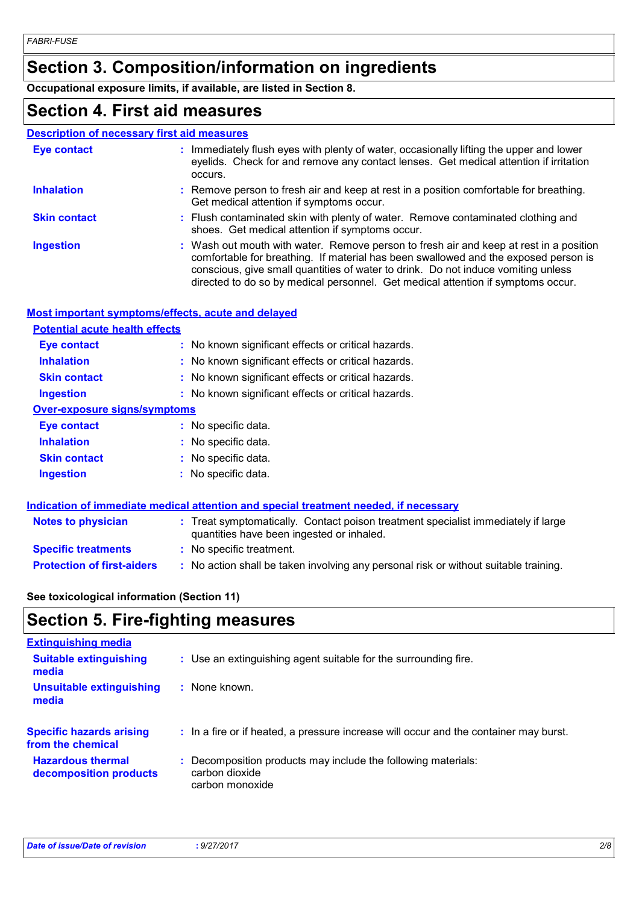### **Section 3. Composition/information on ingredients**

**Occupational exposure limits, if available, are listed in Section 8.**

### **Section 4. First aid measures**

| <b>Description of necessary first aid measures</b> |                                                                                                                                                                                                                                                                                                                                                        |
|----------------------------------------------------|--------------------------------------------------------------------------------------------------------------------------------------------------------------------------------------------------------------------------------------------------------------------------------------------------------------------------------------------------------|
| <b>Eye contact</b>                                 | : Immediately flush eyes with plenty of water, occasionally lifting the upper and lower<br>eyelids. Check for and remove any contact lenses. Get medical attention if irritation<br>occurs.                                                                                                                                                            |
| <b>Inhalation</b>                                  | : Remove person to fresh air and keep at rest in a position comfortable for breathing.<br>Get medical attention if symptoms occur.                                                                                                                                                                                                                     |
| <b>Skin contact</b>                                | : Flush contaminated skin with plenty of water. Remove contaminated clothing and<br>shoes. Get medical attention if symptoms occur.                                                                                                                                                                                                                    |
| <b>Ingestion</b>                                   | : Wash out mouth with water. Remove person to fresh air and keep at rest in a position<br>comfortable for breathing. If material has been swallowed and the exposed person is<br>conscious, give small quantities of water to drink. Do not induce vomiting unless<br>directed to do so by medical personnel. Get medical attention if symptoms occur. |

#### **Most important symptoms/effects, acute and delayed**

| <b>Potential acute health effects</b> |                                                                                            |
|---------------------------------------|--------------------------------------------------------------------------------------------|
| Eye contact                           | : No known significant effects or critical hazards.                                        |
| <b>Inhalation</b>                     | : No known significant effects or critical hazards.                                        |
| <b>Skin contact</b>                   | : No known significant effects or critical hazards.                                        |
| <b>Ingestion</b>                      | : No known significant effects or critical hazards.                                        |
| <b>Over-exposure signs/symptoms</b>   |                                                                                            |
| <b>Eye contact</b>                    | $:$ No specific data.                                                                      |
| <b>Inhalation</b>                     | : No specific data.                                                                        |
| <b>Skin contact</b>                   | : No specific data.                                                                        |
| <b>Ingestion</b>                      | : No specific data.                                                                        |
|                                       |                                                                                            |
|                                       | <u>Indication of immediate medical attention and special treatment needed if necessary</u> |

| <b>Notes to physician</b>         | <u>Martin of Millionian Montan and Midlin and Opocial Months Moddon II Novocal R</u><br>: Treat symptomatically. Contact poison treatment specialist immediately if large<br>quantities have been ingested or inhaled. |
|-----------------------------------|------------------------------------------------------------------------------------------------------------------------------------------------------------------------------------------------------------------------|
| <b>Specific treatments</b>        | : No specific treatment.                                                                                                                                                                                               |
| <b>Protection of first-aiders</b> | : No action shall be taken involving any personal risk or without suitable training.                                                                                                                                   |

#### **See toxicological information (Section 11)**

### **Section 5. Fire-fighting measures**

| <b>Extinguishing media</b>                           |                                                                                                    |
|------------------------------------------------------|----------------------------------------------------------------------------------------------------|
| <b>Suitable extinguishing</b><br>media               | : Use an extinguishing agent suitable for the surrounding fire.                                    |
| <b>Unsuitable extinguishing</b><br>media             | $:$ None known.                                                                                    |
| <b>Specific hazards arising</b><br>from the chemical | : In a fire or if heated, a pressure increase will occur and the container may burst.              |
| <b>Hazardous thermal</b><br>decomposition products   | : Decomposition products may include the following materials:<br>carbon dioxide<br>carbon monoxide |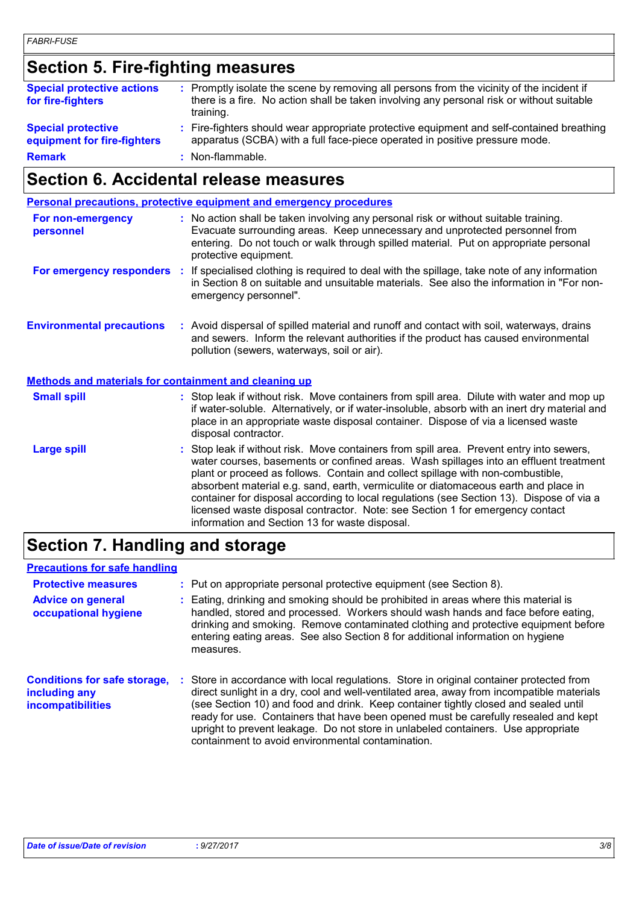### **Section 5. Fire-fighting measures**

| <b>Special protective actions</b><br>for fire-fighters   | : Promptly isolate the scene by removing all persons from the vicinity of the incident if<br>there is a fire. No action shall be taken involving any personal risk or without suitable<br>training. |
|----------------------------------------------------------|-----------------------------------------------------------------------------------------------------------------------------------------------------------------------------------------------------|
| <b>Special protective</b><br>equipment for fire-fighters | : Fire-fighters should wear appropriate protective equipment and self-contained breathing<br>apparatus (SCBA) with a full face-piece operated in positive pressure mode.                            |
| <b>Remark</b>                                            | : Non-flammable.                                                                                                                                                                                    |

### **Section 6. Accidental release measures**

| <b>Personal precautions, protective equipment and emergency procedures</b>                                                                                                                                                                                                                                                                                                                                                                                                                                                                                                               |
|------------------------------------------------------------------------------------------------------------------------------------------------------------------------------------------------------------------------------------------------------------------------------------------------------------------------------------------------------------------------------------------------------------------------------------------------------------------------------------------------------------------------------------------------------------------------------------------|
| : No action shall be taken involving any personal risk or without suitable training.<br>Evacuate surrounding areas. Keep unnecessary and unprotected personnel from<br>entering. Do not touch or walk through spilled material. Put on appropriate personal<br>protective equipment.                                                                                                                                                                                                                                                                                                     |
| For emergency responders :<br>If specialised clothing is required to deal with the spillage, take note of any information<br>in Section 8 on suitable and unsuitable materials. See also the information in "For non-<br>emergency personnel".                                                                                                                                                                                                                                                                                                                                           |
| : Avoid dispersal of spilled material and runoff and contact with soil, waterways, drains<br>and sewers. Inform the relevant authorities if the product has caused environmental<br>pollution (sewers, waterways, soil or air).                                                                                                                                                                                                                                                                                                                                                          |
| <b>Methods and materials for containment and cleaning up</b>                                                                                                                                                                                                                                                                                                                                                                                                                                                                                                                             |
| : Stop leak if without risk. Move containers from spill area. Dilute with water and mop up<br>if water-soluble. Alternatively, or if water-insoluble, absorb with an inert dry material and<br>place in an appropriate waste disposal container. Dispose of via a licensed waste<br>disposal contractor.                                                                                                                                                                                                                                                                                 |
| Stop leak if without risk. Move containers from spill area. Prevent entry into sewers,<br>water courses, basements or confined areas. Wash spillages into an effluent treatment<br>plant or proceed as follows. Contain and collect spillage with non-combustible,<br>absorbent material e.g. sand, earth, vermiculite or diatomaceous earth and place in<br>container for disposal according to local regulations (see Section 13). Dispose of via a<br>licensed waste disposal contractor. Note: see Section 1 for emergency contact<br>information and Section 13 for waste disposal. |
|                                                                                                                                                                                                                                                                                                                                                                                                                                                                                                                                                                                          |

### **Section 7. Handling and storage**

#### **Precautions for safe handling**

| <b>Protective measures</b><br><b>Advice on general</b><br>occupational hygiene   | : Put on appropriate personal protective equipment (see Section 8).<br>: Eating, drinking and smoking should be prohibited in areas where this material is<br>handled, stored and processed. Workers should wash hands and face before eating,<br>drinking and smoking. Remove contaminated clothing and protective equipment before<br>entering eating areas. See also Section 8 for additional information on hygiene<br>measures.                                                                        |
|----------------------------------------------------------------------------------|-------------------------------------------------------------------------------------------------------------------------------------------------------------------------------------------------------------------------------------------------------------------------------------------------------------------------------------------------------------------------------------------------------------------------------------------------------------------------------------------------------------|
| <b>Conditions for safe storage,</b><br>including any<br><b>incompatibilities</b> | Store in accordance with local regulations. Store in original container protected from<br>direct sunlight in a dry, cool and well-ventilated area, away from incompatible materials<br>(see Section 10) and food and drink. Keep container tightly closed and sealed until<br>ready for use. Containers that have been opened must be carefully resealed and kept<br>upright to prevent leakage. Do not store in unlabeled containers. Use appropriate<br>containment to avoid environmental contamination. |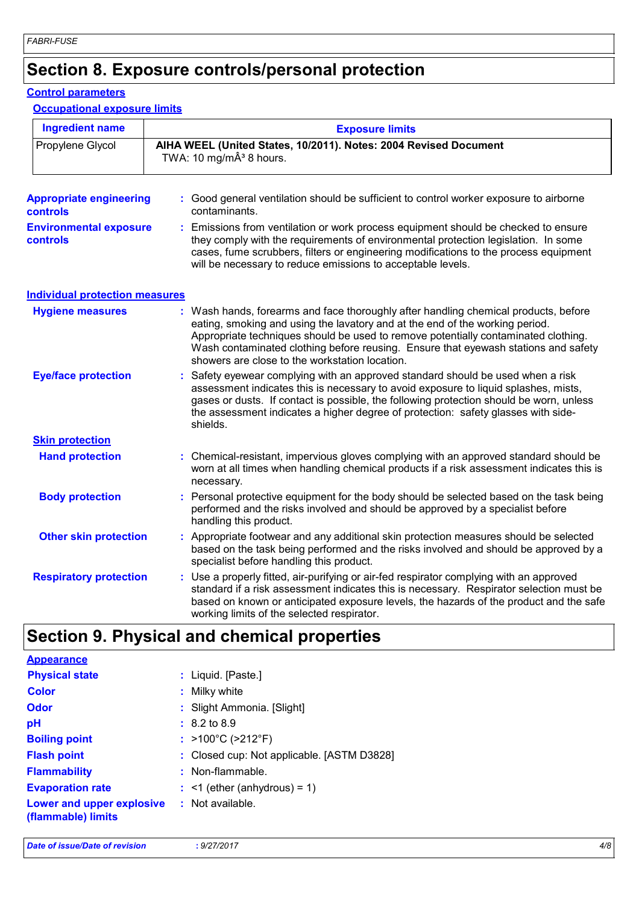### **Section 8. Exposure controls/personal protection**

#### **Control parameters**

#### **Occupational exposure limits**

| <b>Ingredient name</b>                            | <b>Exposure limits</b>                                                                                                                                                                                                                                                                                                                                                                            |  |  |  |  |
|---------------------------------------------------|---------------------------------------------------------------------------------------------------------------------------------------------------------------------------------------------------------------------------------------------------------------------------------------------------------------------------------------------------------------------------------------------------|--|--|--|--|
| Propylene Glycol                                  | AIHA WEEL (United States, 10/2011). Notes: 2004 Revised Document<br>TWA: 10 mg/m $\hat{A}^3$ 8 hours.                                                                                                                                                                                                                                                                                             |  |  |  |  |
| <b>Appropriate engineering</b><br><b>controls</b> | : Good general ventilation should be sufficient to control worker exposure to airborne<br>contaminants.                                                                                                                                                                                                                                                                                           |  |  |  |  |
| <b>Environmental exposure</b><br><b>controls</b>  | : Emissions from ventilation or work process equipment should be checked to ensure<br>they comply with the requirements of environmental protection legislation. In some<br>cases, fume scrubbers, filters or engineering modifications to the process equipment<br>will be necessary to reduce emissions to acceptable levels.                                                                   |  |  |  |  |
| <b>Individual protection measures</b>             |                                                                                                                                                                                                                                                                                                                                                                                                   |  |  |  |  |
| <b>Hygiene measures</b>                           | : Wash hands, forearms and face thoroughly after handling chemical products, before<br>eating, smoking and using the lavatory and at the end of the working period.<br>Appropriate techniques should be used to remove potentially contaminated clothing.<br>Wash contaminated clothing before reusing. Ensure that eyewash stations and safety<br>showers are close to the workstation location. |  |  |  |  |
| <b>Eye/face protection</b>                        | : Safety eyewear complying with an approved standard should be used when a risk<br>assessment indicates this is necessary to avoid exposure to liquid splashes, mists,<br>gases or dusts. If contact is possible, the following protection should be worn, unless<br>the assessment indicates a higher degree of protection: safety glasses with side-<br>shields.                                |  |  |  |  |
| <b>Skin protection</b>                            |                                                                                                                                                                                                                                                                                                                                                                                                   |  |  |  |  |
| <b>Hand protection</b>                            | : Chemical-resistant, impervious gloves complying with an approved standard should be<br>worn at all times when handling chemical products if a risk assessment indicates this is<br>necessary.                                                                                                                                                                                                   |  |  |  |  |
| <b>Body protection</b>                            | : Personal protective equipment for the body should be selected based on the task being<br>performed and the risks involved and should be approved by a specialist before<br>handling this product.                                                                                                                                                                                               |  |  |  |  |
| <b>Other skin protection</b>                      | : Appropriate footwear and any additional skin protection measures should be selected<br>based on the task being performed and the risks involved and should be approved by a<br>specialist before handling this product.                                                                                                                                                                         |  |  |  |  |
| <b>Respiratory protection</b>                     | : Use a properly fitted, air-purifying or air-fed respirator complying with an approved<br>standard if a risk assessment indicates this is necessary. Respirator selection must be<br>based on known or anticipated exposure levels, the hazards of the product and the safe<br>working limits of the selected respirator.                                                                        |  |  |  |  |

### **Section 9. Physical and chemical properties**

| <b>Appearance</b>                               |                                            |
|-------------------------------------------------|--------------------------------------------|
| <b>Physical state</b>                           | : Liquid. [Paste.]                         |
| <b>Color</b>                                    | Milky white                                |
| <b>Odor</b>                                     | : Slight Ammonia. [Slight]                 |
| pH                                              | $: 8.2 \text{ to } 8.9$                    |
| <b>Boiling point</b>                            | : $>100^{\circ}$ C ( $>212^{\circ}$ F)     |
| <b>Flash point</b>                              | : Closed cup: Not applicable. [ASTM D3828] |
| <b>Flammability</b>                             | : Non-flammable.                           |
| <b>Evaporation rate</b>                         | $:$ <1 (ether (anhydrous) = 1)             |
| Lower and upper explosive<br>(flammable) limits | : Not available.                           |
|                                                 |                                            |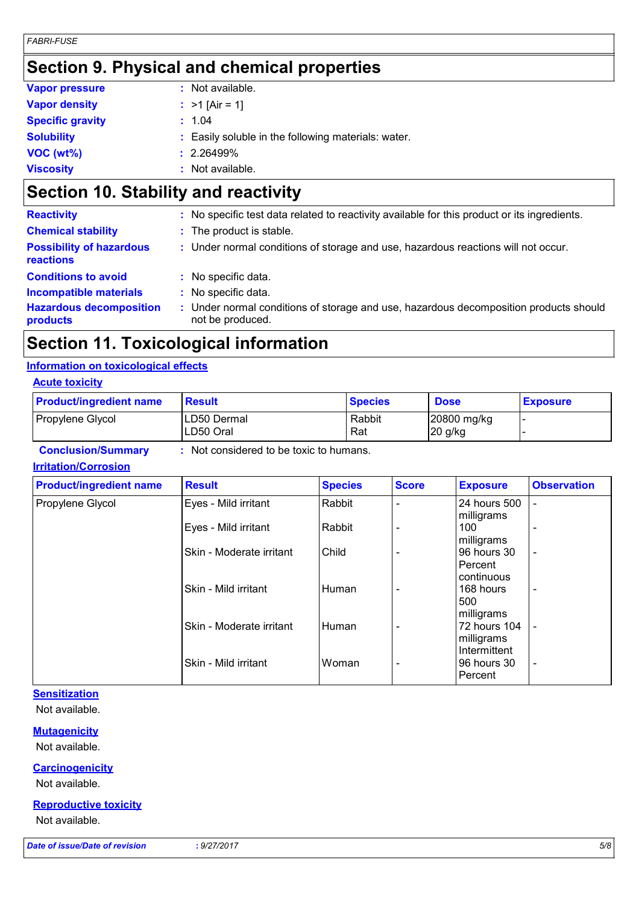### **Section 9. Physical and chemical properties**

| <b>Vapor pressure</b>   | : Not available.                                    |
|-------------------------|-----------------------------------------------------|
| <b>Vapor density</b>    | : $>1$ [Air = 1]                                    |
| <b>Specific gravity</b> | : 1.04                                              |
| <b>Solubility</b>       | : Easily soluble in the following materials: water. |
| VOC(wt%)                | $: 2.26499\%$                                       |
| <b>Viscosity</b>        | : Not available.                                    |

### **Section 10. Stability and reactivity**

| : The product is stable.<br>: Under normal conditions of storage and use, hazardous reactions will not occur. |
|---------------------------------------------------------------------------------------------------------------|
|                                                                                                               |
|                                                                                                               |
| : No specific data.                                                                                           |
| : No specific data.                                                                                           |
| Under normal conditions of storage and use, hazardous decomposition products should<br>not be produced.       |
|                                                                                                               |

### **Section 11. Toxicological information**

#### **Information on toxicological effects**

#### **Acute toxicity**

| <b>Product/ingredient name</b> | <b>Result</b>            | <b>Species</b> | <b>Dose</b>            | <b>Exposure</b> |
|--------------------------------|--------------------------|----------------|------------------------|-----------------|
| Propylene Glycol               | LD50 Dermal<br>LD50 Oral | Rabbit<br>Rat  | 20800 mg/kg<br>20 g/kg |                 |

**Conclusion/Summary :** Not considered to be toxic to humans.

#### **Irritation/Corrosion**

| <b>Product/ingredient name</b> | <b>Result</b>            | <b>Species</b> | <b>Score</b>             | <b>Exposure</b> | <b>Observation</b>       |
|--------------------------------|--------------------------|----------------|--------------------------|-----------------|--------------------------|
| Propylene Glycol               | Eyes - Mild irritant     | Rabbit         |                          | 24 hours 500    | $\overline{\phantom{a}}$ |
|                                |                          |                |                          | milligrams      |                          |
|                                | Eyes - Mild irritant     | Rabbit         |                          | 100             | $\overline{\phantom{0}}$ |
|                                |                          |                |                          | milligrams      |                          |
|                                | Skin - Moderate irritant | Child          |                          | 96 hours 30     | $\overline{\phantom{a}}$ |
|                                |                          |                |                          | Percent         |                          |
|                                |                          |                |                          | continuous      |                          |
|                                | Skin - Mild irritant     | <b>Human</b>   |                          | 168 hours       | $\overline{\phantom{a}}$ |
|                                |                          |                |                          | 500             |                          |
|                                |                          |                |                          | milligrams      |                          |
|                                | Skin - Moderate irritant | <b>Human</b>   |                          | 72 hours 104    | $\overline{\phantom{a}}$ |
|                                |                          |                |                          | milligrams      |                          |
|                                |                          |                |                          | Intermittent    |                          |
|                                | Skin - Mild irritant     | Woman          | $\overline{\phantom{0}}$ | 96 hours 30     | $\blacksquare$           |
|                                |                          |                |                          | Percent         |                          |
|                                |                          |                |                          |                 |                          |

### **Sensitization**

Not available.

#### **Mutagenicity**

Not available.

#### **Carcinogenicity**

Not available.

#### **Reproductive toxicity**

Not available.

*Date of issue/Date of revision* **:** *9/27/2017 5/8*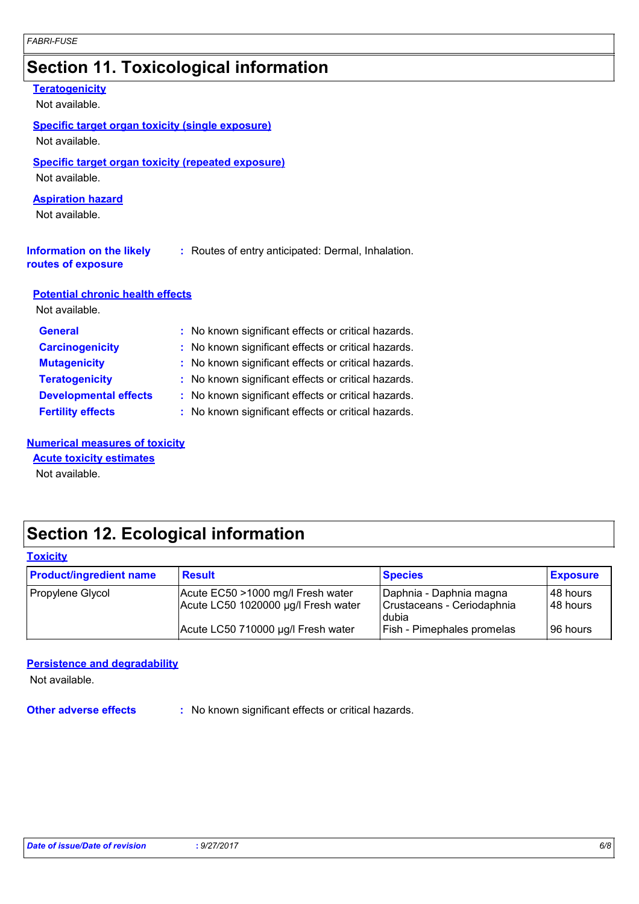## **Section 11. Toxicological information**

| <b>Teratogenicity</b><br>Not available.                                   |                                                     |
|---------------------------------------------------------------------------|-----------------------------------------------------|
| <b>Specific target organ toxicity (single exposure)</b><br>Not available. |                                                     |
| Specific target organ toxicity (repeated exposure)<br>Not available.      |                                                     |
| <b>Aspiration hazard</b><br>Not available.                                |                                                     |
| <b>Information on the likely</b><br>routes of exposure                    | : Routes of entry anticipated: Dermal, Inhalation.  |
| <b>Potential chronic health effects</b><br>Not available.                 |                                                     |
| <b>General</b>                                                            | : No known significant effects or critical hazards. |
| <b>Carcinogenicity</b>                                                    | No known significant effects or critical hazards.   |
| <b>Mutagenicity</b>                                                       | No known significant effects or critical hazards.   |
| <b>Teratogenicity</b>                                                     | : No known significant effects or critical hazards. |
|                                                                           |                                                     |

**Developmental effects** : No known significant effects or critical hazards. **Fertility effects :** No known significant effects or critical hazards.

#### **Numerical measures of toxicity**

### **Acute toxicity estimates**

Not available.

### **Section 12. Ecological information**

#### **Toxicity**

| <b>Product/ingredient name</b> | <b>Result</b>                                                            | <b>Species</b>                                                 | <b>Exposure</b>        |
|--------------------------------|--------------------------------------------------------------------------|----------------------------------------------------------------|------------------------|
| Propylene Glycol               | Acute EC50 >1000 mg/l Fresh water<br>Acute LC50 1020000 µg/l Fresh water | Daphnia - Daphnia magna<br>Crustaceans - Ceriodaphnia<br>dubia | 148 hours<br>148 hours |
|                                | Acute LC50 710000 µg/l Fresh water                                       | <b>Fish - Pimephales promelas</b>                              | 196 hours              |

#### **Persistence and degradability**

Not available.

**Other adverse effects** : No known significant effects or critical hazards.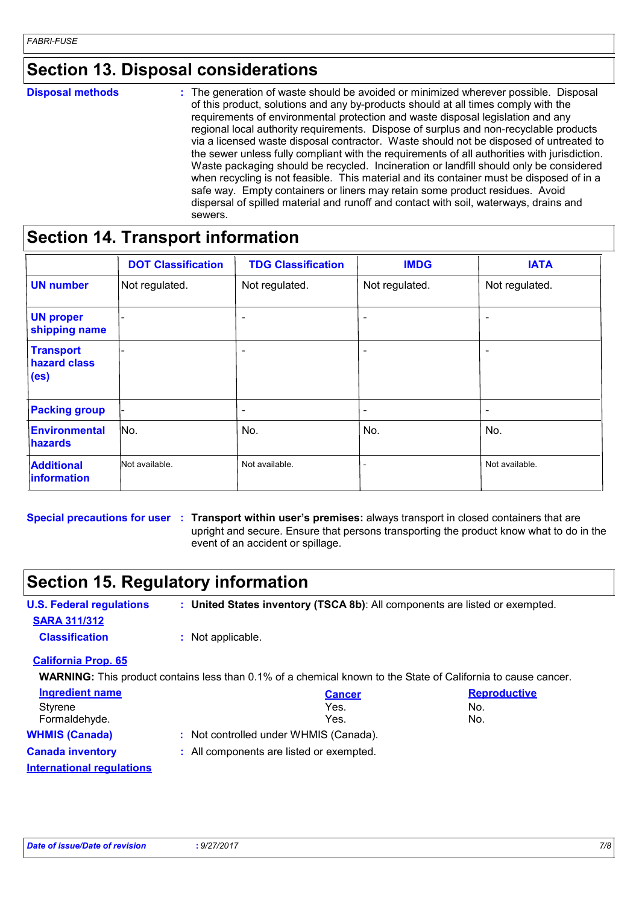### **Section 13. Disposal considerations**

| <b>Disposal methods</b> |
|-------------------------|
|                         |

**Disposal methods** : The generation of waste should be avoided or minimized wherever possible. Disposal of this product, solutions and any by-products should at all times comply with the requirements of environmental protection and waste disposal legislation and any regional local authority requirements. Dispose of surplus and non-recyclable products via a licensed waste disposal contractor. Waste should not be disposed of untreated to the sewer unless fully compliant with the requirements of all authorities with jurisdiction. Waste packaging should be recycled. Incineration or landfill should only be considered when recycling is not feasible. This material and its container must be disposed of in a safe way. Empty containers or liners may retain some product residues. Avoid dispersal of spilled material and runoff and contact with soil, waterways, drains and sewers.

### **Section 14. Transport information**

|                                                       | <b>DOT Classification</b> | <b>TDG Classification</b> | <b>IMDG</b>              | <b>IATA</b>    |
|-------------------------------------------------------|---------------------------|---------------------------|--------------------------|----------------|
| <b>UN number</b>                                      | Not regulated.            | Not regulated.            | Not regulated.           | Not regulated. |
| <b>UN proper</b><br>shipping name                     | $\overline{\phantom{0}}$  | $\overline{\phantom{a}}$  | $\overline{\phantom{a}}$ |                |
| <b>Transport</b><br>hazard class<br>(e <sub>s</sub> ) |                           | $\overline{\phantom{a}}$  | $\overline{\phantom{a}}$ | ۰              |
| <b>Packing group</b>                                  |                           | $\overline{\phantom{a}}$  | $\overline{\phantom{a}}$ | ۰              |
| <b>Environmental</b><br><b>hazards</b>                | No.                       | No.                       | No.                      | No.            |
| <b>Additional</b><br>information                      | Not available.            | Not available.            | $\overline{a}$           | Not available. |

**Special precautions for user** : Transport within user's premises: always transport in closed containers that are

upright and secure. Ensure that persons transporting the product know what to do in the event of an accident or spillage.

### **Section 15. Regulatory information**

| <b>U.S. Federal regulations</b>  |                   | : United States inventory (TSCA 8b): All components are listed or exempted. |                                                                                                                      |
|----------------------------------|-------------------|-----------------------------------------------------------------------------|----------------------------------------------------------------------------------------------------------------------|
| <b>SARA 311/312</b>              |                   |                                                                             |                                                                                                                      |
| <b>Classification</b>            | : Not applicable. |                                                                             |                                                                                                                      |
| <b>California Prop. 65</b>       |                   |                                                                             |                                                                                                                      |
|                                  |                   |                                                                             | <b>WARNING:</b> This product contains less than 0.1% of a chemical known to the State of California to cause cancer. |
| <b>Ingredient name</b>           |                   | <b>Cancer</b>                                                               | <b>Reproductive</b>                                                                                                  |
| Styrene                          |                   | Yes.                                                                        | No.                                                                                                                  |
| Formaldehyde.                    |                   | Yes.                                                                        | No.                                                                                                                  |
| <b>WHMIS (Canada)</b>            |                   | : Not controlled under WHMIS (Canada).                                      |                                                                                                                      |
| <b>Canada inventory</b>          |                   | : All components are listed or exempted.                                    |                                                                                                                      |
| <b>International requlations</b> |                   |                                                                             |                                                                                                                      |